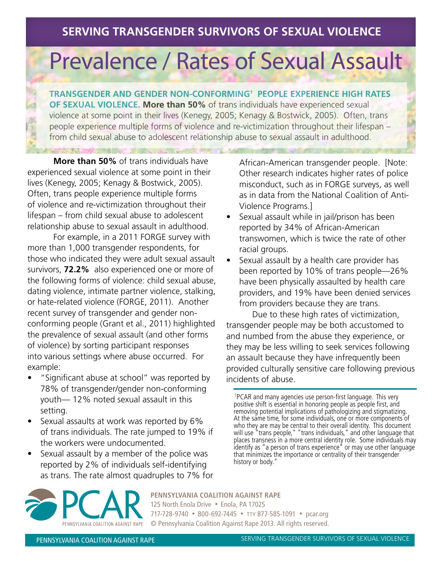# Prevalence / Rates of Sexual Assault

**Transgender and gender non-conforming1 people experience high rates OF SEXUAL VIOLENCE. More than 50%** of trans individuals have experienced sexual violence at some point in their lives (Kenegy, 2005; Kenagy & Bostwick, 2005). Often, trans people experience multiple forms of violence and re-victimization throughout their lifespan – from child sexual abuse to adolescent relationship abuse to sexual assault in adulthood.

**More than 50%** of trans individuals have experienced sexual violence at some point in their lives (Kenegy, 2005; Kenagy & Bostwick, 2005). Often, trans people experience multiple forms of violence and re-victimization throughout their lifespan – from child sexual abuse to adolescent relationship abuse to sexual assault in adulthood.

For example, in a 2011 FORGE survey with more than 1,000 transgender respondents, for those who indicated they were adult sexual assault survivors, **72.2%** also experienced one or more of the following forms of violence: child sexual abuse, dating violence, intimate partner violence, stalking, or hate-related violence (FORGE, 2011). Another recent survey of transgender and gender nonconforming people (Grant et al., 2011) highlighted the prevalence of sexual assault (and other forms of violence) by sorting participant responses into various settings where abuse occurred. For example:

- "Significant abuse at school" was reported by 78% of transgender/gender non-conforming youth— 12% noted sexual assault in this setting.
- Sexual assaults at work was reported by 6% of trans individuals. The rate jumped to 19% if the workers were undocumented.
- Sexual assault by a member of the police was reported by 2% of individuals self-identifying as trans. The rate almost quadruples to 7% for

African-American transgender people. [Note: Other research indicates higher rates of police misconduct, such as in FORGE surveys, as well as in data from the National Coalition of Anti-Violence Programs.]

- Sexual assault while in jail/prison has been reported by 34% of African-American transwomen, which is twice the rate of other racial groups.
- Sexual assault by a health care provider has been reported by 10% of trans people—26% have been physically assaulted by health care providers, and 19% have been denied services from providers because they are trans.

 Due to these high rates of victimization, transgender people may be both accustomed to and numbed from the abuse they experience, or they may be less willing to seek services following an assault because they have infrequently been provided culturally sensitive care following previous incidents of abuse.



**Pennsylvania Coalition Against Rape** 125 North Enola Drive · Enola, PA 17025 717-728-9740 • 800-692-7445 • TTY 877-585-1091 • pcar.org © Pennsylvania Coalition Against Rape 2013. All rights reserved.

 <sup>1</sup>PCAR and many agencies use person-first language. This very positive shift is essential in honoring people as people first, and removing potential implications of pathologizing and stigmatizing. At the same time, for some individuals, one or more components of who they are may be central to their overall identity. This document will use "trans people," "trans individuals," and other language that places transness in a more central identity role. Some individuals may identify as "a person of trans experience" or may use other language that minimizes the importance or centrality of their transgender history or body.'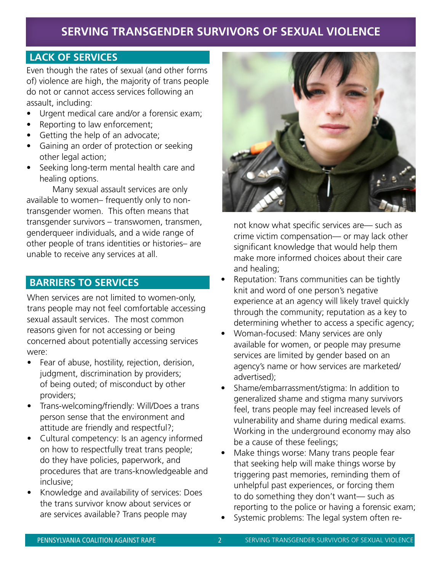## **Lack of services**

Even though the rates of sexual (and other forms of) violence are high, the majority of trans people do not or cannot access services following an assault, including:

- Urgent medical care and/or a forensic exam;
- Reporting to law enforcement;
- Getting the help of an advocate;
- Gaining an order of protection or seeking other legal action;
- Seeking long-term mental health care and healing options.

Many sexual assault services are only available to women– frequently only to nontransgender women. This often means that transgender survivors – transwomen, transmen, genderqueer individuals, and a wide range of other people of trans identities or histories– are unable to receive any services at all.

## **Barriers to services**

When services are not limited to women-only, trans people may not feel comfortable accessing sexual assault services. The most common reasons given for not accessing or being concerned about potentially accessing services were:

- Fear of abuse, hostility, rejection, derision, judgment, discrimination by providers; of being outed; of misconduct by other providers;
- Trans-welcoming/friendly: Will/Does a trans person sense that the environment and attitude are friendly and respectful?;
- Cultural competency: Is an agency informed on how to respectfully treat trans people; do they have policies, paperwork, and procedures that are trans-knowledgeable and inclusive;
- Knowledge and availability of services: Does the trans survivor know about services or are services available? Trans people may



not know what specific services are— such as crime victim compensation— or may lack other significant knowledge that would help them make more informed choices about their care and healing;

- Reputation: Trans communities can be tightly knit and word of one person's negative experience at an agency will likely travel quickly through the community; reputation as a key to determining whether to access a specific agency;
- Woman-focused: Many services are only available for women, or people may presume services are limited by gender based on an agency's name or how services are marketed/ advertised);
- Shame/embarrassment/stigma: In addition to generalized shame and stigma many survivors feel, trans people may feel increased levels of vulnerability and shame during medical exams. Working in the underground economy may also be a cause of these feelings;
- Make things worse: Many trans people fear that seeking help will make things worse by triggering past memories, reminding them of unhelpful past experiences, or forcing them to do something they don't want— such as reporting to the police or having a forensic exam;
- Systemic problems: The legal system often re-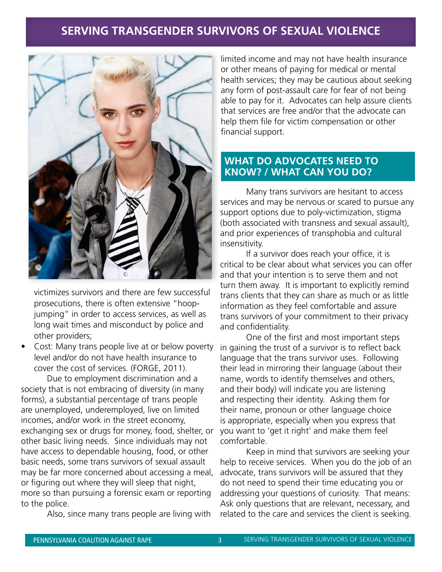

victimizes survivors and there are few successful prosecutions, there is often extensive "hoopjumping" in order to access services, as well as long wait times and misconduct by police and other providers;

• Cost: Many trans people live at or below poverty level and/or do not have health insurance to cover the cost of services. (FORGE, 2011).

 Due to employment discrimination and a society that is not embracing of diversity (in many forms), a substantial percentage of trans people are unemployed, underemployed, live on limited incomes, and/or work in the street economy, exchanging sex or drugs for money, food, shelter, or other basic living needs. Since individuals may not have access to dependable housing, food, or other basic needs, some trans survivors of sexual assault may be far more concerned about accessing a meal, or figuring out where they will sleep that night, more so than pursuing a forensic exam or reporting to the police.

Also, since many trans people are living with

limited income and may not have health insurance or other means of paying for medical or mental health services; they may be cautious about seeking any form of post-assault care for fear of not being able to pay for it. Advocates can help assure clients that services are free and/or that the advocate can help them file for victim compensation or other financial support.

### **What do advocates need to know? / What can you do?**

Many trans survivors are hesitant to access services and may be nervous or scared to pursue any support options due to poly-victimization, stigma (both associated with transness and sexual assault), and prior experiences of transphobia and cultural insensitivity.

 If a survivor does reach your office, it is critical to be clear about what services you can offer and that your intention is to serve them and not turn them away. It is important to explicitly remind trans clients that they can share as much or as little information as they feel comfortable and assure trans survivors of your commitment to their privacy and confidentiality.

One of the first and most important steps in gaining the trust of a survivor is to reflect back language that the trans survivor uses. Following their lead in mirroring their language (about their name, words to identify themselves and others, and their body) will indicate you are listening and respecting their identity. Asking them for their name, pronoun or other language choice is appropriate, especially when you express that you want to 'get it right' and make them feel comfortable.

Keep in mind that survivors are seeking your help to receive services. When you do the job of an advocate, trans survivors will be assured that they do not need to spend their time educating you or addressing your questions of curiosity. That means: Ask only questions that are relevant, necessary, and related to the care and services the client is seeking.